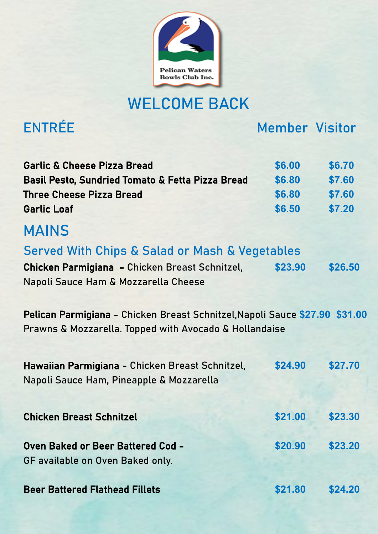

## WELCOME BACK

ENTRÉE Member Visitor

| <b>Garlic &amp; Cheese Pizza Bread</b>                                                                                                | \$6.00  | \$6.70  |  |  |
|---------------------------------------------------------------------------------------------------------------------------------------|---------|---------|--|--|
| Basil Pesto, Sundried Tomato & Fetta Pizza Bread                                                                                      | \$6.80  | \$7.60  |  |  |
| <b>Three Cheese Pizza Bread</b>                                                                                                       | \$6.80  | \$7.60  |  |  |
| <b>Garlic Loaf</b>                                                                                                                    | \$6.50  | \$7.20  |  |  |
| <b>MAINS</b>                                                                                                                          |         |         |  |  |
| <b>Served With Chips &amp; Salad or Mash &amp; Vegetables</b>                                                                         |         |         |  |  |
| Chicken Parmigiana - Chicken Breast Schnitzel,                                                                                        | \$23.90 | \$26.50 |  |  |
| Napoli Sauce Ham & Mozzarella Cheese                                                                                                  |         |         |  |  |
| Pelican Parmigiana - Chicken Breast Schnitzel, Napoli Sauce \$27.90 \$31.00<br>Prawns & Mozzarella. Topped with Avocado & Hollandaise |         |         |  |  |
| Hawaiian Parmigiana - Chicken Breast Schnitzel,                                                                                       | \$24.90 | \$27.70 |  |  |
| Napoli Sauce Ham, Pineapple & Mozzarella                                                                                              |         |         |  |  |
|                                                                                                                                       |         |         |  |  |
|                                                                                                                                       |         |         |  |  |
| <b>Chicken Breast Schnitzel</b>                                                                                                       | \$21.00 | \$23.30 |  |  |

| Oven Baked or Beer Battered Cod - | \$20.90 | \$23.20 |
|-----------------------------------|---------|---------|
| GF available on Oven Baked only.  |         |         |

Beer Battered Flathead Fillets **\$21.80 \$24.20**